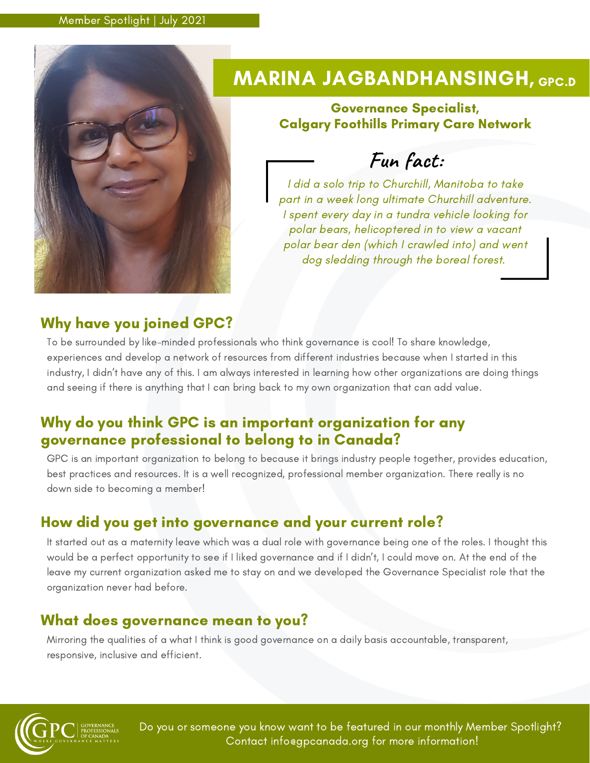

# MARINA JAGBANDHANSINGH, GPC.D

#### Governance Specialist, Calgary Foothills Primary Care Network

**Fun fact:**

I did a solo trip to Churchill, Manitoba to take part in a week long ultimate Churchill adventure. I spent every day in a tundra vehicle looking for polar bears, helicoptered in to view a vacant polar bear den (which I crawled into) and went dog sledding through the boreal forest.

### Why have you joined GPC?

To be surrounded by like-minded professionals who think governance is cool! To share knowledge, experiences and develop a network of resources from different industries because when I started in this industry, I didn't have any of this. I am always interested in learning how other organizations are doing things and seeing if there is anything that I can bring back to my own organization that can add value.

### Why do you think GPC is an important organization for any governance professional to belong to in Canada?

GPC is an important organization to belong to because it brings industry people together, provides education, best practices and resources. It is a well recognized, professional member organization. There really is no down side to becoming a member!

## How did you get into governance and your current role?

It started out as a maternity leave which was a dual role with governance being one of the roles. I thought this would be a perfect opportunity to see if I liked governance and if I didn't, I could move on. At the end of the leave my current organization asked me to stay on and we developed the Governance Specialist role that the organization never had before.

### What does governance mean to you?

Mirroring the qualities of a what I think is good governance on a daily basis accountable, transparent, responsive, inclusive and efficient.



Do you or someone you know want to be featured in our monthly Member Spotlight? Contact info@gpcanada.org for more information!